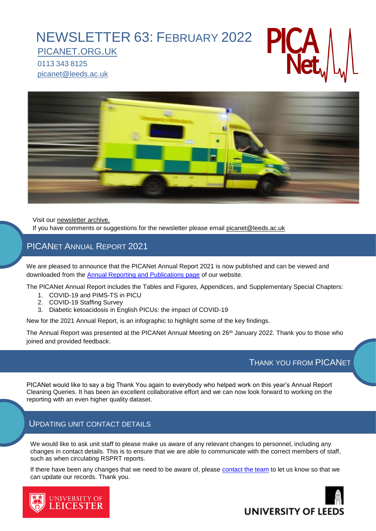# [NEWSLETTER](http://www.picanet.org.uk/) 63: FEBRUARY 2022

[PICANET](http://www.picanet.org.uk/).ORG.UK 0113 343 8125 [picanet@leeds.ac.uk](http://www.picanet.org.uk/)



Visit our [newsletter archive.](https://www.picanet.org.uk/home/newsletters/) If you have comments or suggestions for the newsletter please email [picanet@leeds.ac.uk](mailto:picanet@leeds.ac.uk)

# PICANET ANNUAL REPORT 2021

We are pleased to announce that the PICANet Annual Report 2021 is now published and can be viewed and downloaded from the [Annual Reporting and Publications page](https://www.picanet.org.uk/annual-reporting-and-publications/) of our website.

The PICANet Annual Report includes the Tables and Figures, Appendices, and Supplementary Special Chapters:

- 1. COVID-19 and PIMS-TS in PICU
- 2. COVID-19 Staffing Survey
- 3. Diabetic ketoacidosis in English PICUs: the impact of COVID-19

New for the 2021 Annual Report, is an infographic to highlight some of the key findings.

The Annual Report was presented at the PICANet Annual Meeting on 26<sup>th</sup> January 2022. Thank you to those who joined and provided feedback.

# THANK YOU FROM PICANET

PICANet would like to say a big Thank You again to everybody who helped work on this year's Annual Report Cleaning Queries. It has been an excellent collaborative effort and we can now look forward to working on the reporting with an even higher quality dataset.

#### UPDATING UNIT CONTACT DETAILS

university of<br>**LEICESTER** 

We would like to ask unit staff to please make us aware of any relevant changes to personnel, including any changes in contact details. This is to ensure that we are able to communicate with the correct members of staff, such as when circulating RSPRT reports.

If there have been any changes that we need to be aware of, please [contact the team](mailto:picanet@leeds.ac.uk) to let us know so that we can update our records. Thank you.